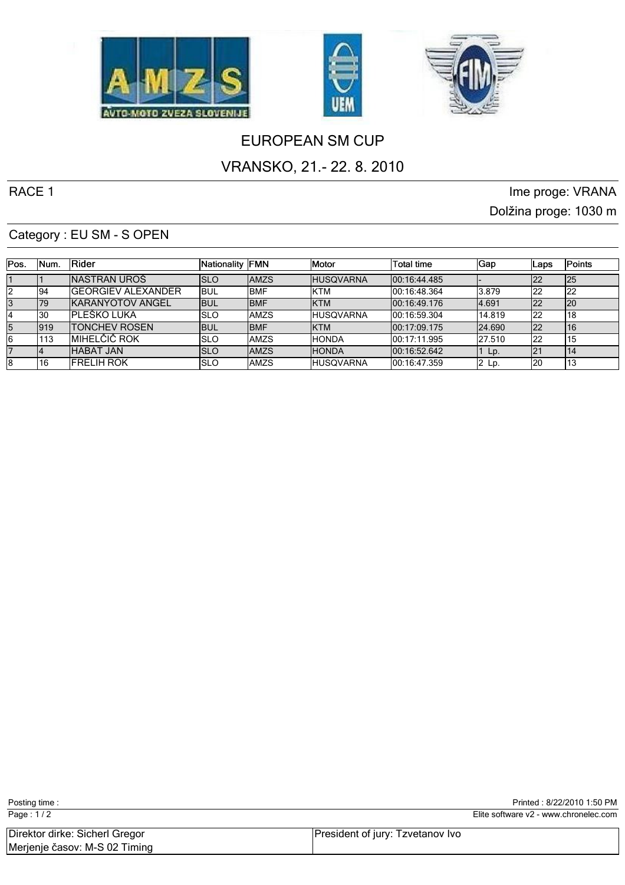





# EUROPEAN SM CUP

## VRANSKO, 21.- 22. 8. 2010

RACE 1 and 1 interval 2 in the proge: VRANA contract the proge: VRANA Dolžina proge: 1030 m

#### Category : EU SM - S OPEN

| IPos. | INum. | <b>IRider</b>            | Nationality FMN |              | <b>IMotor</b>     | Total time    | 'Gap          | Laps | Points |
|-------|-------|--------------------------|-----------------|--------------|-------------------|---------------|---------------|------|--------|
|       |       | INASTRAN UROŠ            | Islo            | <b>AMZS</b>  | <b>HUSQVARNA</b>  | 100:16:44.485 |               | ᅝ    | 125    |
|       | 194   | IGEORGIEV ALEXANDER      | ibul            | IBMF         | <b>IKTM</b>       | 100:16:48.364 | 13.879        | 122  | 122    |
|       | 179   | <b>IKARANYOTOV ANGEL</b> | <b>I</b> BUL    | IBMF         | <b>IKTM</b>       | 100:16:49.176 | 14.691        | 122  | 120    |
|       | 130   | IPLEŠKO LUKA             | ISLO            | IAMZS        | <b>IHUSQVARNA</b> | 100:16:59.304 | 14.819        | 122  | 18     |
| 15    | 1919  | <b>ITONCHEV ROSEN</b>    | <b>I</b> BUL    | <b>IBMF</b>  | <b>IKTM</b>       | 100:17:09.175 | <b>24.690</b> | 122  | 16     |
|       | 113   | IMIHELČIČ ROK            | ISLO            | IAMZS        | <b>IHONDA</b>     | 100:17:11.995 | 127.510       | 122  | 15     |
|       |       | <b>HABAT JAN</b>         | ISLO            | <b>IAMZS</b> | <b>HONDA</b>      | 100:16:52.642 | Lp.           |      | 14     |
| 18    | 16    | <b>IFRELIH ROK</b>       | ISLO            | IAMZS        | <b>IHUSQVARNA</b> | 00:16:47.359  | 2 Lp.         | 120  | د ا    |

| Page: $1/2$                                                     |                                  | Elite software v2 - www.chronelec.com |
|-----------------------------------------------------------------|----------------------------------|---------------------------------------|
| Direktor dirke: Sicherl Gregor<br>Merjenje časov: M-S 02 Timing | President of jury: Tzvetanov Ivo |                                       |

Posting time : Posting time : 8/22/2010 1:50 PM